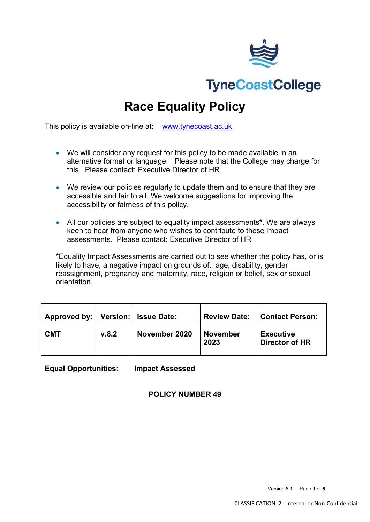

**Race Equality Policy**

This policy is available on-line at: [www.tynecoast.ac.uk](http://www.tynecoast.ac.uk/)

- We will consider any request for this policy to be made available in an alternative format or language. Please note that the College may charge for this. Please contact: Executive Director of HR
- We review our policies regularly to update them and to ensure that they are accessible and fair to all. We welcome suggestions for improving the accessibility or fairness of this policy.
- All our policies are subject to equality impact assessments**\***. We are always keen to hear from anyone who wishes to contribute to these impact assessments. Please contact: Executive Director of HR

\*Equality Impact Assessments are carried out to see whether the policy has, or is likely to have, a negative impact on grounds of: age, disability, gender reassignment, pregnancy and maternity, race, religion or belief, sex or sexual orientation.

| Approved by: |       | Version:   Issue Date: | <b>Review Date:</b>     | <b>Contact Person:</b>                    |
|--------------|-------|------------------------|-------------------------|-------------------------------------------|
| <b>CMT</b>   | v.8.2 | November 2020          | <b>November</b><br>2023 | <b>Executive</b><br><b>Director of HR</b> |

**Equal Opportunities: Impact Assessed**

**POLICY NUMBER 49**

Version 8.1 Page **1** of **6**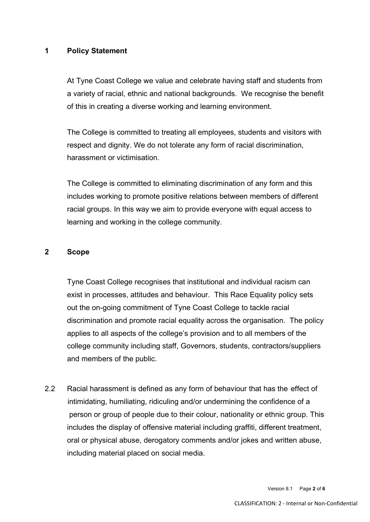### **1 Policy Statement**

At Tyne Coast College we value and celebrate having staff and students from a variety of racial, ethnic and national backgrounds. We recognise the benefit of this in creating a diverse working and learning environment.

The College is committed to treating all employees, students and visitors with respect and dignity. We do not tolerate any form of racial discrimination, harassment or victimisation.

The College is committed to eliminating discrimination of any form and this includes working to promote positive relations between members of different racial groups. In this way we aim to provide everyone with equal access to learning and working in the college community.

#### **2 Scope**

Tyne Coast College recognises that institutional and individual racism can exist in processes, attitudes and behaviour. This Race Equality policy sets out the on-going commitment of Tyne Coast College to tackle racial discrimination and promote racial equality across the organisation. The policy applies to all aspects of the college's provision and to all members of the college community including staff, Governors, students, contractors/suppliers and members of the public.

2.2 Racial harassment is defined as any form of behaviour that has the effect of intimidating, humiliating, ridiculing and/or undermining the confidence of a person or group of people due to their colour, nationality or ethnic group. This includes the display of offensive material including graffiti, different treatment, oral or physical abuse, derogatory comments and/or jokes and written abuse, including material placed on social media.

Version 8.1 Page **2** of **6**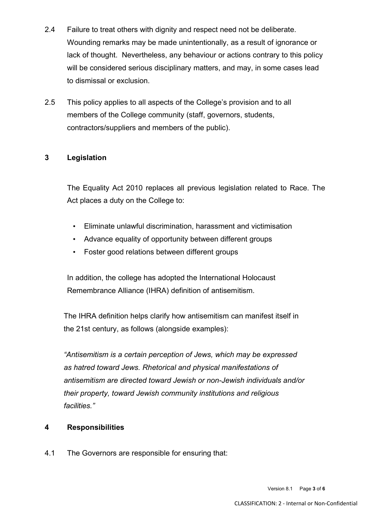- 2.4 Failure to treat others with dignity and respect need not be deliberate. Wounding remarks may be made unintentionally, as a result of ignorance or lack of thought. Nevertheless, any behaviour or actions contrary to this policy will be considered serious disciplinary matters, and may, in some cases lead to dismissal or exclusion.
- 2.5 This policy applies to all aspects of the College's provision and to all members of the College community (staff, governors, students, contractors/suppliers and members of the public).

# **3 Legislation**

The Equality Act 2010 replaces all previous legislation related to Race. The Act places a duty on the College to:

- Eliminate unlawful discrimination, harassment and victimisation
- Advance equality of opportunity between different groups
- Foster good relations between different groups

In addition, the college has adopted the International Holocaust Remembrance Alliance (IHRA) definition of antisemitism.

The IHRA definition helps clarify how antisemitism can manifest itself in the 21st century, as follows (alongside examples):

*"Antisemitism is a certain perception of Jews, which may be expressed as hatred toward Jews. Rhetorical and physical manifestations of antisemitism are directed toward Jewish or non-Jewish individuals and/or their property, toward Jewish community institutions and religious facilities."*

## **4 Responsibilities**

4.1 The Governors are responsible for ensuring that: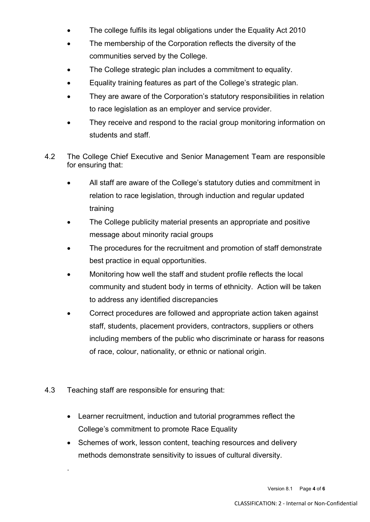- The college fulfils its legal obligations under the Equality Act 2010
- The membership of the Corporation reflects the diversity of the communities served by the College.
- The College strategic plan includes a commitment to equality.
- Equality training features as part of the College's strategic plan.
- They are aware of the Corporation's statutory responsibilities in relation to race legislation as an employer and service provider.
- They receive and respond to the racial group monitoring information on students and staff.
- 4.2 The College Chief Executive and Senior Management Team are responsible for ensuring that:
	- All staff are aware of the College's statutory duties and commitment in relation to race legislation, through induction and regular updated training
	- The College publicity material presents an appropriate and positive message about minority racial groups
	- The procedures for the recruitment and promotion of staff demonstrate best practice in equal opportunities.
	- Monitoring how well the staff and student profile reflects the local community and student body in terms of ethnicity. Action will be taken to address any identified discrepancies
	- Correct procedures are followed and appropriate action taken against staff, students, placement providers, contractors, suppliers or others including members of the public who discriminate or harass for reasons of race, colour, nationality, or ethnic or national origin.
- 4.3 Teaching staff are responsible for ensuring that:

.

- Learner recruitment, induction and tutorial programmes reflect the College's commitment to promote Race Equality
- Schemes of work, lesson content, teaching resources and delivery methods demonstrate sensitivity to issues of cultural diversity.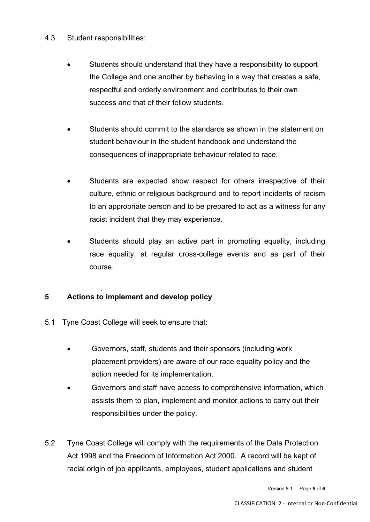- 4.3 Student responsibilities:
	- Students should understand that they have a responsibility to support the College and one another by behaving in a way that creates a safe, respectful and orderly environment and contributes to their own success and that of their fellow students.
	- Students should commit to the standards as shown in the statement on student behaviour in the student handbook and understand the consequences of inappropriate behaviour related to race.
	- Students are expected show respect for others irrespective of their culture, ethnic or religious background and to report incidents of racism to an appropriate person and to be prepared to act as a witness for any racist incident that they may experience.
	- Students should play an active part in promoting equality, including race equality, at regular cross-college events and as part of their course.

#### . **5 Actions to implement and develop policy**

- 5.1 Tyne Coast College will seek to ensure that:
	- Governors, staff, students and their sponsors (including work placement providers) are aware of our race equality policy and the action needed for its implementation.
	- Governors and staff have access to comprehensive information, which assists them to plan, implement and monitor actions to carry out their responsibilities under the policy.
- 5.2 Tyne Coast College will comply with the requirements of the Data Protection Act 1998 and the Freedom of Information Act 2000. A record will be kept of racial origin of job applicants, employees, student applications and student

Version 8.1 Page **5** of **6**